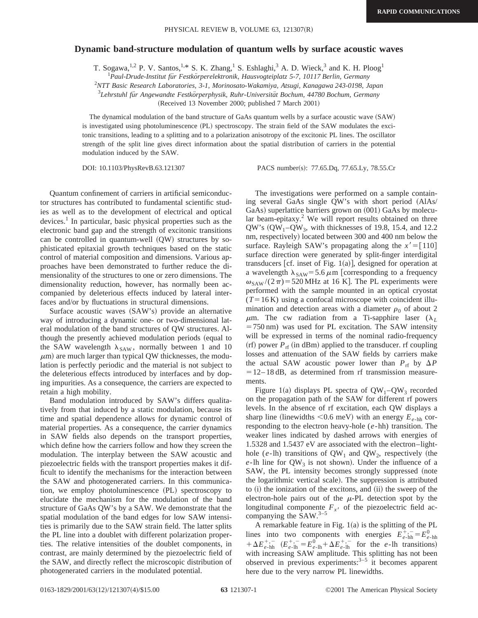## **Dynamic band-structure modulation of quantum wells by surface acoustic waves**

T. Sogawa,<sup>1,2</sup> P. V. Santos,<sup>1,\*</sup> S. K. Zhang,<sup>1</sup> S. Eshlaghi,<sup>3</sup> A. D. Wieck,<sup>3</sup> and K. H. Ploog<sup>1</sup>

<sup>1</sup> Paul-Drude-Institut für Festkörperelektronik, Hausvogteiplatz 5-7, 10117 Berlin, Germany

2 *NTT Basic Research Laboratories, 3-1, Morinosato-Wakamiya, Atsugi, Kanagawa 243-0198, Japan*

<sup>3</sup>Lehrstuhl für Angewandte Festkörperphysik, Ruhr-Universität Bochum, 44780 Bochum, Germany

(Received 13 November 2000; published 7 March 2001)

The dynamical modulation of the band structure of GaAs quantum wells by a surface acoustic wave (SAW) is investigated using photoluminescence (PL) spectroscopy. The strain field of the SAW modulates the excitonic transitions, leading to a splitting and to a polarization anisotropy of the excitonic PL lines. The oscillator strength of the split line gives direct information about the spatial distribution of carriers in the potential modulation induced by the SAW.

DOI: 10.1103/PhysRevB.63.121307 PACS number(s): 77.65.Dq, 77.65.Ly, 78.55.Cr

Quantum confinement of carriers in artificial semiconductor structures has contributed to fundamental scientific studies as well as to the development of electrical and optical devices.<sup>1</sup> In particular, basic physical properties such as the electronic band gap and the strength of excitonic transitions can be controlled in quantum-well  $(QW)$  structures by sophisticated epitaxial growth techniques based on the static control of material composition and dimensions. Various approaches have been demonstrated to further reduce the dimensionality of the structures to one or zero dimensions. The dimensionality reduction, however, has normally been accompanied by deleterious effects induced by lateral interfaces and/or by fluctuations in structural dimensions.

Surface acoustic waves (SAW's) provide an alternative way of introducing a dynamic one- or two-dimensional lateral modulation of the band structures of QW structures. Although the presently achieved modulation periods (equal to the SAW wavelength  $\lambda_{SAW}$ , normally between 1 and 10  $\mu$ m) are much larger than typical QW thicknesses, the modulation is perfectly periodic and the material is not subject to the deleterious effects introduced by interfaces and by doping impurities. As a consequence, the carriers are expected to retain a high mobility.

Band modulation introduced by SAW's differs qualitatively from that induced by a static modulation, because its time and spatial dependence allows for dynamic control of material properties. As a consequence, the carrier dynamics in SAW fields also depends on the transport properties, which define how the carriers follow and how they screen the modulation. The interplay between the SAW acoustic and piezoelectric fields with the transport properties makes it difficult to identify the mechanisms for the interaction between the SAW and photogenerated carriers. In this communication, we employ photoluminescence (PL) spectroscopy to elucidate the mechanism for the modulation of the band structure of GaAs QW's by a SAW. We demonstrate that the spatial modulation of the band edges for low SAW intensities is primarily due to the SAW strain field. The latter splits the PL line into a doublet with different polarization properties. The relative intensities of the doublet components, in contrast, are mainly determined by the piezoelectric field of the SAW, and directly reflect the microscopic distribution of photogenerated carriers in the modulated potential.

The investigations were performed on a sample containing several GaAs single QW's with short period (AlAs/ GaAs) superlattice barriers grown on (001) GaAs by molecular beam-epitaxy. $2$  We will report results obtained on three  $QW$ 's  $(QW_1-QW_3$ , with thicknesses of 19.8, 15.4, and 12.2 nm, respectively) located between 300 and 400 nm below the surface. Rayleigh SAW's propagating along the  $x' = [110]$ surface direction were generated by split-finger interdigital transducers  $[cf.$  inset of Fig. 1(a)], designed for operation at a wavelength  $\lambda_{SAW}$ = 5.6  $\mu$ m [corresponding to a frequency  $\omega_{SAW}$ /(2 $\pi$ ) = 520 MHz at 16 K. The PL experiments were performed with the sample mounted in an optical cryostat  $(T=16 \text{ K})$  using a confocal microscope with coincident illumination and detection areas with a diameter  $\rho_0$  of about 2  $\mu$ m. The cw radiation from a Ti-sapphire laser ( $\lambda_L$ )  $=750 \text{ nm}$ ) was used for PL excitation. The SAW intensity will be expressed in terms of the nominal radio-frequency  $(rf)$  power  $P_{rf}$  (in dBm) applied to the transducer. rf coupling losses and attenuation of the SAW fields by carriers make the actual SAW acoustic power lower than  $P_{\text{rf}}$  by  $\Delta P$  $= 12-18$  dB, as determined from rf transmission measurements.

Figure 1(a) displays PL spectra of  $QW_1-QW_3$  recorded on the propagation path of the SAW for different rf powers levels. In the absence of rf excitation, each QW displays a sharp line (linewidths  $< 0.6$  meV) with an energy  $E_{e-hh}$  corresponding to the electron heavy-hole (*e*-hh) transition. The weaker lines indicated by dashed arrows with energies of 1.5328 and 1.5437 eV are associated with the electron–lighthole ( $e$ -lh) transitions of  $QW_1$  and  $QW_2$ , respectively (the  $e$ -lh line for  $QW_3$  is not shown). Under the influence of a SAW, the PL intensity becomes strongly suppressed (note the logarithmic vertical scale). The suppression is attributed to (i) the ionization of the excitons, and (ii) the sweep of the electron-hole pairs out of the  $\mu$ -PL detection spot by the longitudinal componente  $F_{x}$  of the piezoelectric field accompanying the  $SAW.<sup>3-5</sup>$ 

A remarkable feature in Fig.  $1(a)$  is the splitting of the PL lines into two components with energies  $E_{e-hh}^{+,-} = E_{e-hh}^{0}$  $+ \Delta E_{e-\text{hh}}^{+,-}$   $(E_{e-\text{lh}}^{+,-} = E_{e-\text{lh}}^{0} + \Delta E_{e-\text{lh}}^{+,-}$  for the *e*-lh transitions) with increasing SAW amplitude. This splitting has not been observed in previous experiments: $3-5$  it becomes apparent here due to the very narrow PL linewidths.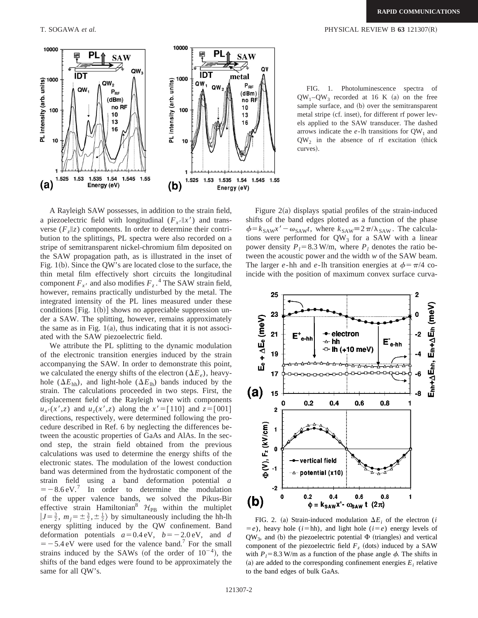

FIG. 1. Photoluminescence spectra of  $QW_1-QW_3$  recorded at 16 K (a) on the free sample surface, and (b) over the semitransparent metal stripe (cf. inset), for different rf power levels applied to the SAW transducer. The dashed arrows indicate the  $e$ -lh transitions for  $QW_1$  and

 $QW<sub>2</sub>$  in the absence of rf excitation (thick

A Rayleigh SAW possesses, in addition to the strain field, a piezoelectric field with longitudinal  $(F_x / ||x')$  and transverse  $(F_z||z)$  components. In order to determine their contribution to the splittings, PL spectra were also recorded on a stripe of semitransparent nickel-chromium film deposited on the SAW propagation path, as is illustrated in the inset of Fig.  $1(b)$ . Since the QW's are located close to the surface, the thin metal film effectively short circuits the longitudinal component  $F_{x}$ <sup>*i*</sup> and also modifies  $F_z$ .<sup>4</sup> The SAW strain field, however, remains practically undisturbed by the metal. The integrated intensity of the PL lines measured under these conditions  $[Fig. 1(b)]$  shows no appreciable suppression under a SAW. The splitting, however, remains approximately the same as in Fig.  $1(a)$ , thus indicating that it is not associated with the SAW piezoelectric field.

We attribute the PL splitting to the dynamic modulation of the electronic transition energies induced by the strain accompanying the SAW. In order to demonstrate this point, we calculated the energy shifts of the electron  $(\Delta E_e)$ , heavyhole ( $\Delta E_{hh}$ ), and light-hole ( $\Delta E_{lh}$ ) bands induced by the strain. The calculations proceeded in two steps. First, the displacement field of the Rayleigh wave with components  $u_{x}(x', z)$  and  $u_z(x', z)$  along the  $x' = [110]$  and  $z = [001]$ directions, respectively, were determined following the procedure described in Ref. 6 by neglecting the differences between the acoustic properties of GaAs and AlAs. In the second step, the strain field obtained from the previous calculations was used to determine the energy shifts of the electronic states. The modulation of the lowest conduction band was determined from the hydrostatic component of the strain field using a band deformation potential *a*  $=$  -8.6 eV.<sup>7</sup> In order to determine the modulation of the upper valence bands, we solved the Pikus-Bir effective strain Hamiltonian<sup>8</sup>  $\mathcal{H}_{PB}$  within the multiplet  $|J=\frac{3}{2}, m_j=\pm \frac{3}{2}, \pm \frac{1}{2} \rangle$  by simultaneously including the hh-lh energy splitting induced by the QW confinement. Band deformation potentials  $a=0.4$  eV,  $b=-2.0$  eV, and *d*  $=$  -5.4 eV were used for the valence band.<sup>7</sup> For the small strains induced by the SAWs (of the order of  $10^{-4}$ ), the shifts of the band edges were found to be approximately the same for all QW's.

Figure  $2(a)$  displays spatial profiles of the strain-induced shifts of the band edges plotted as a function of the phase  $\phi = k_{SAW}x' - \omega_{SAW}t$ , where  $k_{SAW} \equiv 2\pi/\lambda_{SAW}$ . The calculations were performed for  $QW_3$  for a SAW with a linear power density  $P_l = 8.3$  W/m, where  $P_l$  denotes the ratio between the acoustic power and the width *w* of the SAW beam. The larger *e*-hh and *e*-lh transition energies at  $\phi = \pi/4$  coincide with the position of maximum convex surface curva-

curves).



FIG. 2. (a) Strain-induced modulation  $\Delta E_i$  of the electron (*i*  $=$ *e*), heavy hole (*i*=hh), and light hole (*i*=*e*) energy levels of  $QW_3$ , and (b) the piezoelectric potential  $\Phi$  (triangles) and vertical component of the piezoelectric field  $F<sub>z</sub>$  (dots) induced by a SAW with  $P_1 = 8.3$  W/m as a function of the phase angle  $\phi$ . The shifts in (a) are added to the corresponding confinement energies  $E_i$  relative to the band edges of bulk GaAs.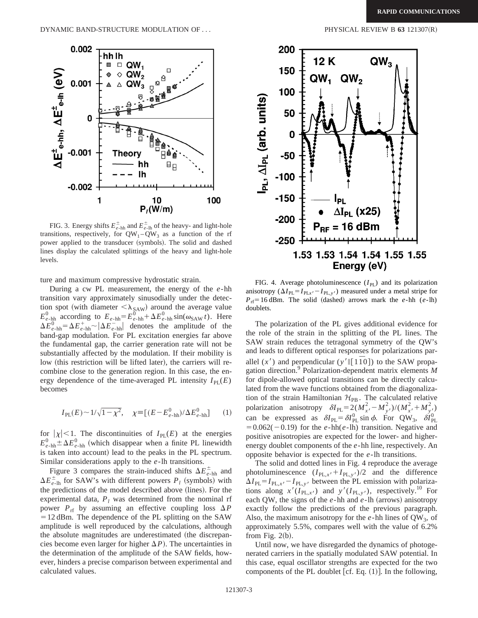

FIG. 3. Energy shifts  $E_{e-\text{hh}}^{\pm}$  and  $E_{e-\text{lh}}^{\pm}$  of the heavy- and light-hole transitions, respectively, for  $QW_1 - QW_3$  as a function of the rf power applied to the transducer (symbols). The solid and dashed lines display the calculated splittings of the heavy and light-hole levels.

ture and maximum compressive hydrostatic strain.

During a cw PL measurement, the energy of the *e*-hh transition vary approximately sinusodially under the detection spot (with diameter  $\langle \lambda_{\text{SAW}} \rangle$  around the average value  $E_{e-\text{hh}}^0$  according to  $E_{e-\text{hh}} = E_{e-\text{hh}}^0 + \Delta E_{e-\text{hh}}^0 \sin(\omega_{\text{SAW}} t)$ . Here  $\Delta E_{e-\text{hh}}^{\text{O}} = \Delta E_{e-\text{hh}}^+ \sim |\Delta E_{e-\text{hh}}^-|$  denotes the amplitude of the band-gap modulation. For PL excitation energies far above the fundamental gap, the carrier generation rate will not be substantially affected by the modulation. If their mobility is low (this restriction will be lifted later), the carriers will recombine close to the generation region. In this case, the energy dependence of the time-averaged PL intensity  $I_{PL}(E)$ becomes

$$
I_{\rm PL}(E) \sim 1/\sqrt{1-\chi^2}, \quad \chi \equiv [(E-E_{e-\rm hh}^0)/\Delta E_{e-\rm hh}^0] \qquad (1)
$$

for  $|\chi|$  < 1. The discontinuities of *I*<sub>PL</sub>(*E*) at the energies  $E_{e-\text{hh}}^0 \pm \Delta E_{e-\text{hh}}^0$  (which disappear when a finite PL linewidth is taken into account) lead to the peaks in the PL spectrum. Similar considerations apply to the *e*-lh transitions.

Figure 3 compares the strain-induced shifts  $\Delta E_{e-hh}^{\pm}$  and  $\Delta E_{e\text{-}lh}^{\pm}$  for SAW's with different powers  $P_l$  (symbols) with the predictions of the model described above (lines). For the experimental data,  $P_l$  was determined from the nominal rf power  $P_{\text{rf}}$  by assuming an effective coupling loss  $\Delta P$  $=12$  dBm. The dependence of the PL splitting on the SAW amplitude is well reproduced by the calculations, although the absolute magnitudes are underestimated (the discrepancies become even larger for higher  $\Delta P$ ). The uncertainties in the determination of the amplitude of the SAW fields, however, hinders a precise comparison between experimental and calculated values.



FIG. 4. Average photoluminescence  $(I_{PL})$  and its polarization anisotropy  $(\Delta I_{PL} = I_{PL,x'} - I_{PL,y'})$  measured under a metal stripe for  $P_{\text{rf}}=16$  dBm. The solid (dashed) arrows mark the *e*-hh (*e*-lh) doublets.

The polarization of the PL gives additional evidence for the role of the strain in the splitting of the PL lines. The SAW strain reduces the tetragonal symmetry of the QW's and leads to different optical responses for polarizations parallel  $(x')$  and perpendicular  $(y' \parallel [1\bar{1}0])$  to the SAW propagation direction.9 Polarization-dependent matrix elements *M* for dipole-allowed optical transitions can be directly calculated from the wave functions obtained from the diagonalization of the strain Hamiltonian  $\mathcal{H}_{PB}$ . The calculated relative polarization anisotropy  $\delta I_{\text{PL}} = 2(M_{x}^{2} - M_{y}^{2})/(M_{x}^{2} + M_{y}^{2})$ can be expressed as  $\delta I_{\text{PL}} = \delta I_{\text{PL}}^0 \sin \phi$ . For QW<sub>3</sub>,  $\delta I_{\text{PL}}^0$  $=0.062(-0.19)$  for the *e*-hh(*e*-lh) transition. Negative and positive anisotropies are expected for the lower- and higherenergy doublet components of the *e*-hh line, respectively. An opposite behavior is expected for the *e*-lh transitions.

The solid and dotted lines in Fig. 4 reproduce the average photoluminescence  $(I_{PL,x'} + I_{PL,y'})/2$  and the difference  $\Delta I_{\text{PL}} = I_{\text{PL},x'} - I_{\text{PL},y}$ , between the PL emission with polarizations along  $x'(I_{PL,x'})$  and  $y'(I_{PL,y'})$ , respectively.<sup>10</sup> For each QW, the signs of the  $e$ -hh and  $e$ -lh (arrows) anisotropy exactly follow the predictions of the previous paragraph. Also, the maximum anisotropy for the  $e$ -hh lines of  $QW_3$ , of approximately 5.5%, compares well with the value of 6.2% from Fig.  $2(b)$ .

Until now, we have disregarded the dynamics of photogenerated carriers in the spatially modulated SAW potential. In this case, equal oscillator strengths are expected for the two components of the PL doublet [cf. Eq.  $(1)$ ]. In the following,